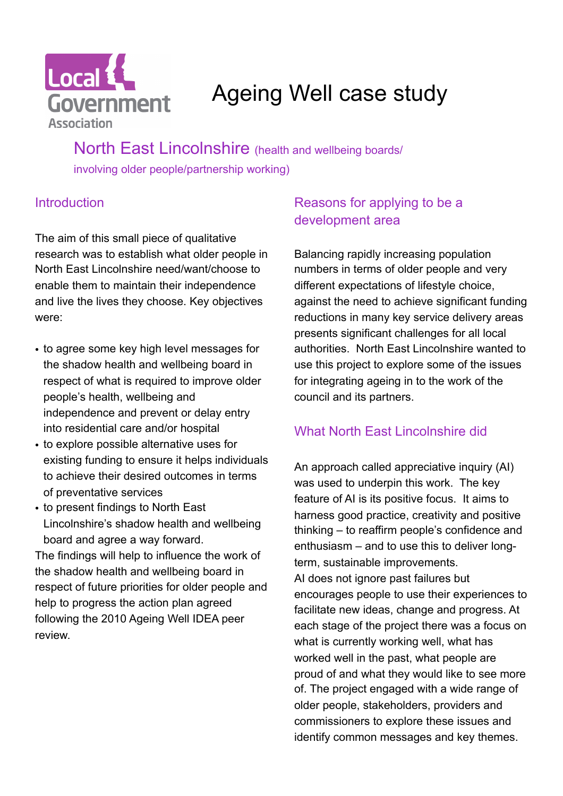

# Ageing Well case study

North East Lincolnshire (health and wellbeing boards/ involving older people/partnership working)

## **Introduction**

The aim of this small piece of qualitative research was to establish what older people in North East Lincolnshire need/want/choose to enable them to maintain their independence and live the lives they choose. Key objectives were:

- to agree some key high level messages for the shadow health and wellbeing board in respect of what is required to improve older people's health, wellbeing and independence and prevent or delay entry into residential care and/or hospital
- to explore possible alternative uses for existing funding to ensure it helps individuals to achieve their desired outcomes in terms of preventative services
- to present findings to North East Lincolnshire's shadow health and wellbeing board and agree a way forward.

The findings will help to influence the work of the shadow health and wellbeing board in respect of future priorities for older people and help to progress the action plan agreed following the 2010 Ageing Well IDEA peer review.

## Reasons for applying to be a development area

Balancing rapidly increasing population numbers in terms of older people and very different expectations of lifestyle choice, against the need to achieve significant funding reductions in many key service delivery areas presents significant challenges for all local authorities. North East Lincolnshire wanted to use this project to explore some of the issues for integrating ageing in to the work of the council and its partners.

## What North Fast Lincolnshire did

An approach called appreciative inquiry (AI) was used to underpin this work. The key feature of AI is its positive focus. It aims to harness good practice, creativity and positive thinking – to reaffirm people's confidence and enthusiasm – and to use this to deliver longterm, sustainable improvements. AI does not ignore past failures but encourages people to use their experiences to facilitate new ideas, change and progress. At each stage of the project there was a focus on what is currently working well, what has worked well in the past, what people are proud of and what they would like to see more of. The project engaged with a wide range of older people, stakeholders, providers and commissioners to explore these issues and identify common messages and key themes.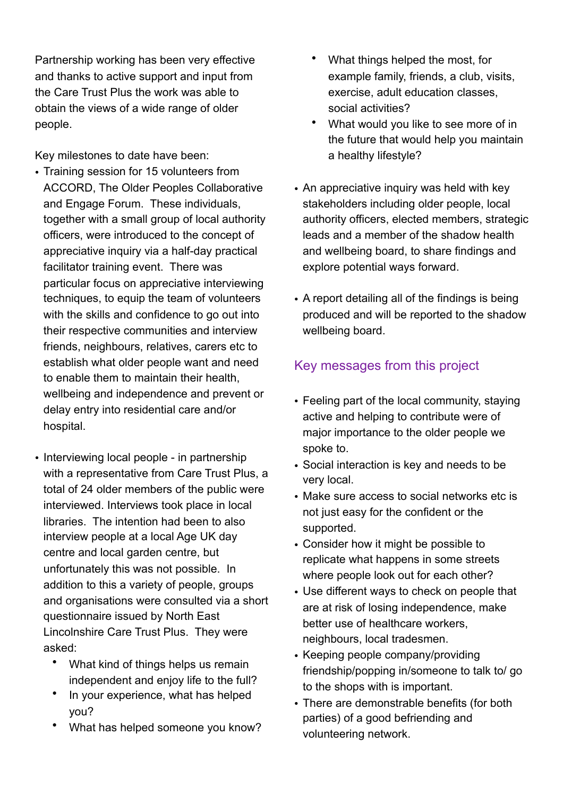Partnership working has been very effective and thanks to active support and input from the Care Trust Plus the work was able to obtain the views of a wide range of older people.

Key milestones to date have been:

- Training session for 15 volunteers from ACCORD, The Older Peoples Collaborative and Engage Forum. These individuals, together with a small group of local authority officers, were introduced to the concept of appreciative inquiry via a half-day practical facilitator training event. There was particular focus on appreciative interviewing techniques, to equip the team of volunteers with the skills and confidence to go out into their respective communities and interview friends, neighbours, relatives, carers etc to establish what older people want and need to enable them to maintain their health, wellbeing and independence and prevent or delay entry into residential care and/or hospital.
- Interviewing local people in partnership with a representative from Care Trust Plus, a total of 24 older members of the public were interviewed. Interviews took place in local libraries. The intention had been to also interview people at a local Age UK day centre and local garden centre, but unfortunately this was not possible. In addition to this a variety of people, groups and organisations were consulted via a short questionnaire issued by North East Lincolnshire Care Trust Plus. They were asked:
	- What kind of things helps us remain independent and enjoy life to the full?
	- In your experience, what has helped you?
	- What has helped someone you know?
- What things helped the most, for example family, friends, a club, visits, exercise, adult education classes, social activities?
- What would you like to see more of in the future that would help you maintain a healthy lifestyle?
- An appreciative inquiry was held with key stakeholders including older people, local authority officers, elected members, strategic leads and a member of the shadow health and wellbeing board, to share findings and explore potential ways forward.
- A report detailing all of the findings is being produced and will be reported to the shadow wellbeing board.

## Key messages from this project

- Feeling part of the local community, staying active and helping to contribute were of major importance to the older people we spoke to.
- Social interaction is key and needs to be very local.
- Make sure access to social networks etc is not just easy for the confident or the supported.
- Consider how it might be possible to replicate what happens in some streets where people look out for each other?
- Use different ways to check on people that are at risk of losing independence, make better use of healthcare workers, neighbours, local tradesmen.
- Keeping people company/providing friendship/popping in/someone to talk to/ go to the shops with is important.
- There are demonstrable benefits (for both parties) of a good befriending and volunteering network.